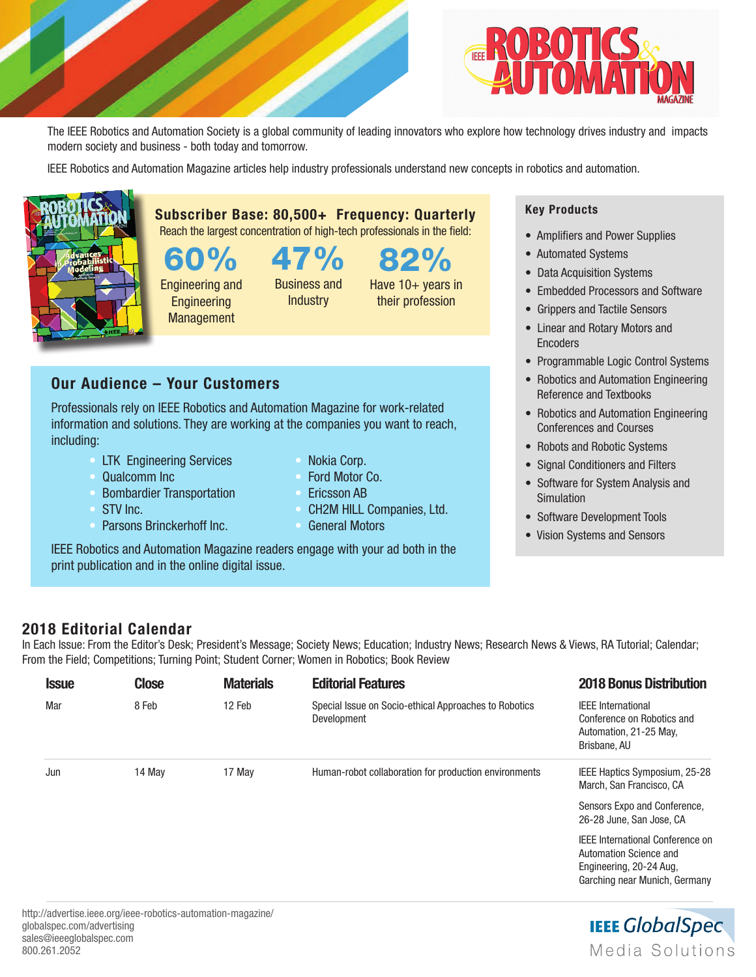



The IEEE Robotics and Automation Society is a global community of leading innovators who explore how technology drives industry and impacts modern society and business - both today and tomorrow.

82%

Have 10+ years in their profession

IEEE Robotics and Automation Magazine articles help industry professionals understand new concepts in robotics and automation.



Subscriber Base: 80,500+ Frequency: Quarterly Reach the largest concentration of high-tech professionals in the field:

0% Engineering and Engineering

**Management** 

Business and **Industry** 

47%

Our Audience – Your Customers

Professionals rely on IEEE Robotics and Automation Magazine for work-related information and solutions. They are working at the companies you want to reach, including:

- **LTK** Engineering Services
- Qualcomm Inc
- Bombardier Transportation
- STV Inc.
	- Parsons Brinckerhoff Inc.
- Nokia Corp. • Ford Motor Co.
- Ericsson AB
- CH2M HILL Companies, Ltd.
- General Motors

IEEE Robotics and Automation Magazine readers engage with your ad both in the print publication and in the online digital issue.

## Key Products

- Amplifiers and Power Supplies
- Automated Systems
- Data Acquisition Systems
- Embedded Processors and Software
- Grippers and Tactile Sensors
- Linear and Rotary Motors and **Encoders**
- Programmable Logic Control Systems
- Robotics and Automation Engineering Reference and Textbooks
- Robotics and Automation Engineering Conferences and Courses
- Robots and Robotic Systems
- Signal Conditioners and Filters
- Software for System Analysis and Simulation
- Software Development Tools
- Vision Systems and Sensors

## 2018 Editorial Calendar

In Each Issue: From the Editor's Desk; President's Message; Society News; Education; Industry News; Research News & Views, RA Tutorial; Calendar; From the Field; Competitions; Turning Point; Student Corner; Women in Robotics; Book Review

| <b>Issue</b> | <b>Close</b> | <b>Materials</b> | <b>Editorial Features</b>                                            | <b>2018 Bonus Distribution</b>                                                                    |
|--------------|--------------|------------------|----------------------------------------------------------------------|---------------------------------------------------------------------------------------------------|
| Mar          | 8 Feb        | 12 Feb           | Special Issue on Socio-ethical Approaches to Robotics<br>Development | <b>IEEE</b> International<br>Conference on Robotics and<br>Automation, 21-25 May,<br>Brisbane, AU |
| Jun          | 14 May       | 17 May           | Human-robot collaboration for production environments                | IEEE Haptics Symposium, 25-28<br>March, San Francisco, CA                                         |
|              |              |                  |                                                                      | Sensors Expo and Conference,<br>26-28 June, San Jose, CA                                          |
|              |              |                  |                                                                      | <b>IEEE International Conference on</b><br>Automation Science and<br>Engineering, 20-24 Aug.      |

**IEEE GlobalSpec** Media Solutions

Garching near Munich, Germany